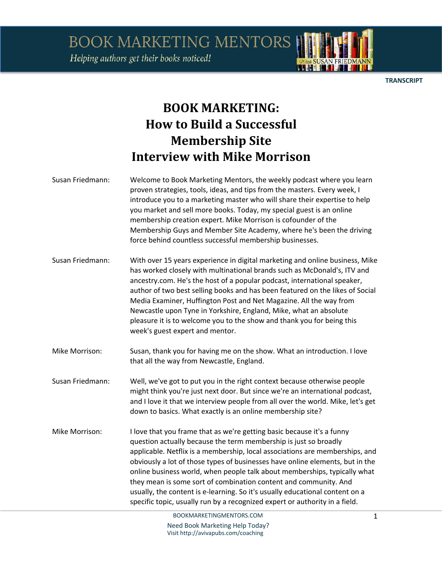Helping authors get their books noticed!

**TRANSCRIPT** 

## **BOOK MARKETING: How to Build a Successful Membership Site Interview with Mike Morrison**

| Susan Friedmann: | Welcome to Book Marketing Mentors, the weekly podcast where you learn<br>proven strategies, tools, ideas, and tips from the masters. Every week, I<br>introduce you to a marketing master who will share their expertise to help<br>you market and sell more books. Today, my special guest is an online<br>membership creation expert. Mike Morrison is cofounder of the<br>Membership Guys and Member Site Academy, where he's been the driving<br>force behind countless successful membership businesses.                                                                                                               |
|------------------|-----------------------------------------------------------------------------------------------------------------------------------------------------------------------------------------------------------------------------------------------------------------------------------------------------------------------------------------------------------------------------------------------------------------------------------------------------------------------------------------------------------------------------------------------------------------------------------------------------------------------------|
| Susan Friedmann: | With over 15 years experience in digital marketing and online business, Mike<br>has worked closely with multinational brands such as McDonald's, ITV and<br>ancestry.com. He's the host of a popular podcast, international speaker,<br>author of two best selling books and has been featured on the likes of Social<br>Media Examiner, Huffington Post and Net Magazine. All the way from<br>Newcastle upon Tyne in Yorkshire, England, Mike, what an absolute<br>pleasure it is to welcome you to the show and thank you for being this<br>week's guest expert and mentor.                                               |
| Mike Morrison:   | Susan, thank you for having me on the show. What an introduction. I love<br>that all the way from Newcastle, England.                                                                                                                                                                                                                                                                                                                                                                                                                                                                                                       |
| Susan Friedmann: | Well, we've got to put you in the right context because otherwise people<br>might think you're just next door. But since we're an international podcast,<br>and I love it that we interview people from all over the world. Mike, let's get<br>down to basics. What exactly is an online membership site?                                                                                                                                                                                                                                                                                                                   |
| Mike Morrison:   | I love that you frame that as we're getting basic because it's a funny<br>question actually because the term membership is just so broadly<br>applicable. Netflix is a membership, local associations are memberships, and<br>obviously a lot of those types of businesses have online elements, but in the<br>online business world, when people talk about memberships, typically what<br>they mean is some sort of combination content and community. And<br>usually, the content is e-learning. So it's usually educational content on a<br>specific topic, usually run by a recognized expert or authority in a field. |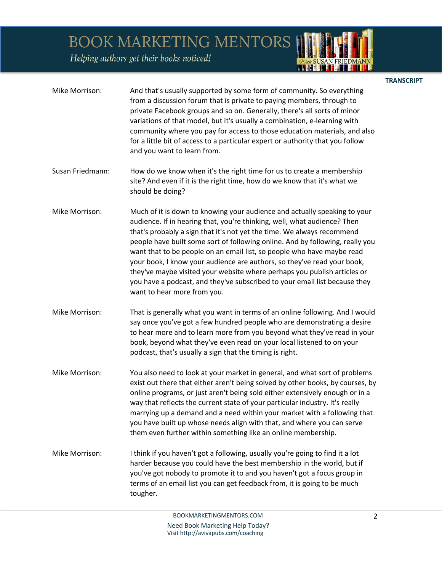Helping authors get their books noticed!

| Mike Morrison:   | And that's usually supported by some form of community. So everything<br>from a discussion forum that is private to paying members, through to<br>private Facebook groups and so on. Generally, there's all sorts of minor<br>variations of that model, but it's usually a combination, e-learning with<br>community where you pay for access to those education materials, and also<br>for a little bit of access to a particular expert or authority that you follow<br>and you want to learn from.                                                                                                                                                          |
|------------------|----------------------------------------------------------------------------------------------------------------------------------------------------------------------------------------------------------------------------------------------------------------------------------------------------------------------------------------------------------------------------------------------------------------------------------------------------------------------------------------------------------------------------------------------------------------------------------------------------------------------------------------------------------------|
| Susan Friedmann: | How do we know when it's the right time for us to create a membership<br>site? And even if it is the right time, how do we know that it's what we<br>should be doing?                                                                                                                                                                                                                                                                                                                                                                                                                                                                                          |
| Mike Morrison:   | Much of it is down to knowing your audience and actually speaking to your<br>audience. If in hearing that, you're thinking, well, what audience? Then<br>that's probably a sign that it's not yet the time. We always recommend<br>people have built some sort of following online. And by following, really you<br>want that to be people on an email list, so people who have maybe read<br>your book, I know your audience are authors, so they've read your book,<br>they've maybe visited your website where perhaps you publish articles or<br>you have a podcast, and they've subscribed to your email list because they<br>want to hear more from you. |
| Mike Morrison:   | That is generally what you want in terms of an online following. And I would<br>say once you've got a few hundred people who are demonstrating a desire<br>to hear more and to learn more from you beyond what they've read in your<br>book, beyond what they've even read on your local listened to on your<br>podcast, that's usually a sign that the timing is right.                                                                                                                                                                                                                                                                                       |
| Mike Morrison:   | You also need to look at your market in general, and what sort of problems<br>exist out there that either aren't being solved by other books, by courses, by<br>online programs, or just aren't being sold either extensively enough or in a<br>way that reflects the current state of your particular industry. It's really<br>marrying up a demand and a need within your market with a following that<br>you have built up whose needs align with that, and where you can serve<br>them even further within something like an online membership.                                                                                                            |
| Mike Morrison:   | I think if you haven't got a following, usually you're going to find it a lot<br>harder because you could have the best membership in the world, but if<br>you've got nobody to promote it to and you haven't got a focus group in<br>terms of an email list you can get feedback from, it is going to be much<br>tougher.                                                                                                                                                                                                                                                                                                                                     |

2

<u> 1944 | 1745 | 1746</u>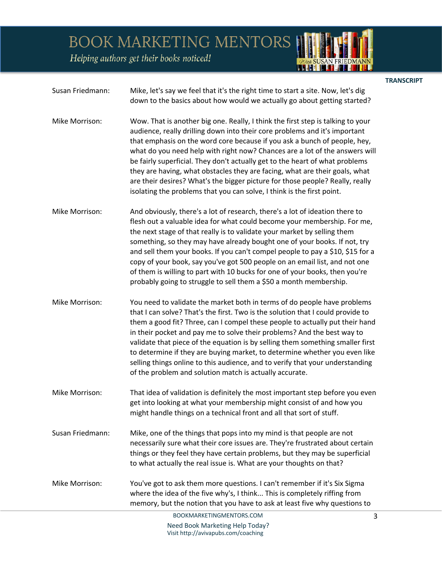Helping authors get their books noticed!



**TRANSCRIPT** 

| Susan Friedmann: | Mike, let's say we feel that it's the right time to start a site. Now, let's dig |
|------------------|----------------------------------------------------------------------------------|
|                  | down to the basics about how would we actually go about getting started?         |

- Mike Morrison: Wow. That is another big one. Really, I think the first step is talking to your audience, really drilling down into their core problems and it's important that emphasis on the word core because if you ask a bunch of people, hey, what do you need help with right now? Chances are a lot of the answers will be fairly superficial. They don't actually get to the heart of what problems they are having, what obstacles they are facing, what are their goals, what are their desires? What's the bigger picture for those people? Really, really isolating the problems that you can solve, I think is the first point.
- Mike Morrison: And obviously, there's a lot of research, there's a lot of ideation there to flesh out a valuable idea for what could become your membership. For me, the next stage of that really is to validate your market by selling them something, so they may have already bought one of your books. If not, try and sell them your books. If you can't compel people to pay a \$10, \$15 for a copy of your book, say you've got 500 people on an email list, and not one of them is willing to part with 10 bucks for one of your books, then you're probably going to struggle to sell them a \$50 a month membership.
- Mike Morrison: You need to validate the market both in terms of do people have problems that I can solve? That's the first. Two is the solution that I could provide to them a good fit? Three, can I compel these people to actually put their hand in their pocket and pay me to solve their problems? And the best way to validate that piece of the equation is by selling them something smaller first to determine if they are buying market, to determine whether you even like selling things online to this audience, and to verify that your understanding of the problem and solution match is actually accurate.
- Mike Morrison: That idea of validation is definitely the most important step before you even get into looking at what your membership might consist of and how you might handle things on a technical front and all that sort of stuff.
- Susan Friedmann: Mike, one of the things that pops into my mind is that people are not necessarily sure what their core issues are. They're frustrated about certain things or they feel they have certain problems, but they may be superficial to what actually the real issue is. What are your thoughts on that?
- Mike Morrison: You've got to ask them more questions. I can't remember if it's Six Sigma where the idea of the five why's, I think... This is completely riffing from memory, but the notion that you have to ask at least five why questions to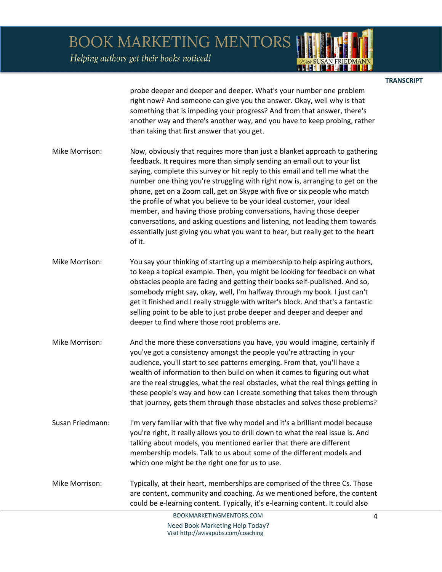Helping authors get their books noticed!



**TRANSCRIPT** 

probe deeper and deeper and deeper. What's your number one problem right now? And someone can give you the answer. Okay, well why is that something that is impeding your progress? And from that answer, there's another way and there's another way, and you have to keep probing, rather than taking that first answer that you get.

- Mike Morrison: Now, obviously that requires more than just a blanket approach to gathering feedback. It requires more than simply sending an email out to your list saying, complete this survey or hit reply to this email and tell me what the number one thing you're struggling with right now is, arranging to get on the phone, get on a Zoom call, get on Skype with five or six people who match the profile of what you believe to be your ideal customer, your ideal member, and having those probing conversations, having those deeper conversations, and asking questions and listening, not leading them towards essentially just giving you what you want to hear, but really get to the heart of it.
- Mike Morrison: You say your thinking of starting up a membership to help aspiring authors, to keep a topical example. Then, you might be looking for feedback on what obstacles people are facing and getting their books self-published. And so, somebody might say, okay, well, I'm halfway through my book. I just can't get it finished and I really struggle with writer's block. And that's a fantastic selling point to be able to just probe deeper and deeper and deeper and deeper to find where those root problems are.
- Mike Morrison: And the more these conversations you have, you would imagine, certainly if you've got a consistency amongst the people you're attracting in your audience, you'll start to see patterns emerging. From that, you'll have a wealth of information to then build on when it comes to figuring out what are the real struggles, what the real obstacles, what the real things getting in these people's way and how can I create something that takes them through that journey, gets them through those obstacles and solves those problems?
- Susan Friedmann: I'm very familiar with that five why model and it's a brilliant model because you're right, it really allows you to drill down to what the real issue is. And talking about models, you mentioned earlier that there are different membership models. Talk to us about some of the different models and which one might be the right one for us to use.
- Mike Morrison: Typically, at their heart, memberships are comprised of the three Cs. Those are content, community and coaching. As we mentioned before, the content could be e-learning content. Typically, it's e-learning content. It could also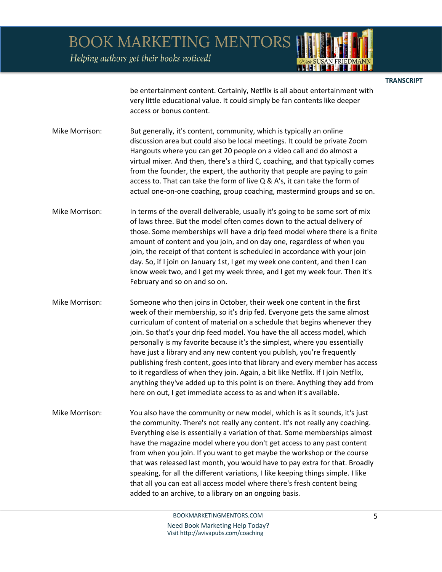Helping authors get their books noticed!



**TRANSCRIPT** 

be entertainment content. Certainly, Netflix is all about entertainment with very little educational value. It could simply be fan contents like deeper access or bonus content.

Mike Morrison: But generally, it's content, community, which is typically an online discussion area but could also be local meetings. It could be private Zoom Hangouts where you can get 20 people on a video call and do almost a virtual mixer. And then, there's a third C, coaching, and that typically comes from the founder, the expert, the authority that people are paying to gain access to. That can take the form of live Q & A's, it can take the form of actual one-on-one coaching, group coaching, mastermind groups and so on.

Mike Morrison: In terms of the overall deliverable, usually it's going to be some sort of mix of laws three. But the model often comes down to the actual delivery of those. Some memberships will have a drip feed model where there is a finite amount of content and you join, and on day one, regardless of when you join, the receipt of that content is scheduled in accordance with your join day. So, if I join on January 1st, I get my week one content, and then I can know week two, and I get my week three, and I get my week four. Then it's February and so on and so on.

Mike Morrison: Someone who then joins in October, their week one content in the first week of their membership, so it's drip fed. Everyone gets the same almost curriculum of content of material on a schedule that begins whenever they join. So that's your drip feed model. You have the all access model, which personally is my favorite because it's the simplest, where you essentially have just a library and any new content you publish, you're frequently publishing fresh content, goes into that library and every member has access to it regardless of when they join. Again, a bit like Netflix. If I join Netflix, anything they've added up to this point is on there. Anything they add from here on out, I get immediate access to as and when it's available.

Mike Morrison: You also have the community or new model, which is as it sounds, it's just the community. There's not really any content. It's not really any coaching. Everything else is essentially a variation of that. Some memberships almost have the magazine model where you don't get access to any past content from when you join. If you want to get maybe the workshop or the course that was released last month, you would have to pay extra for that. Broadly speaking, for all the different variations, I like keeping things simple. I like that all you can eat all access model where there's fresh content being added to an archive, to a library on an ongoing basis.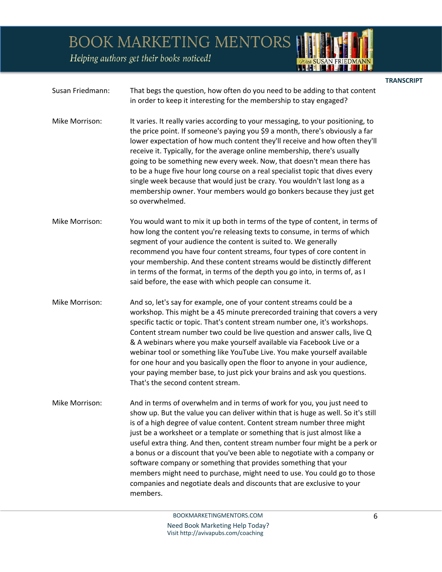Helping authors get their books noticed!



## **TRANSCRIPT**

- Susan Friedmann: That begs the question, how often do you need to be adding to that content in order to keep it interesting for the membership to stay engaged?
- Mike Morrison: It varies. It really varies according to your messaging, to your positioning, to the price point. If someone's paying you \$9 a month, there's obviously a far lower expectation of how much content they'll receive and how often they'll receive it. Typically, for the average online membership, there's usually going to be something new every week. Now, that doesn't mean there has to be a huge five hour long course on a real specialist topic that dives every single week because that would just be crazy. You wouldn't last long as a membership owner. Your members would go bonkers because they just get so overwhelmed.
- Mike Morrison: You would want to mix it up both in terms of the type of content, in terms of how long the content you're releasing texts to consume, in terms of which segment of your audience the content is suited to. We generally recommend you have four content streams, four types of core content in your membership. And these content streams would be distinctly different in terms of the format, in terms of the depth you go into, in terms of, as I said before, the ease with which people can consume it.
- Mike Morrison: And so, let's say for example, one of your content streams could be a workshop. This might be a 45 minute prerecorded training that covers a very specific tactic or topic. That's content stream number one, it's workshops. Content stream number two could be live question and answer calls, live Q & A webinars where you make yourself available via Facebook Live or a webinar tool or something like YouTube Live. You make yourself available for one hour and you basically open the floor to anyone in your audience, your paying member base, to just pick your brains and ask you questions. That's the second content stream.
- Mike Morrison: And in terms of overwhelm and in terms of work for you, you just need to show up. But the value you can deliver within that is huge as well. So it's still is of a high degree of value content. Content stream number three might just be a worksheet or a template or something that is just almost like a useful extra thing. And then, content stream number four might be a perk or a bonus or a discount that you've been able to negotiate with a company or software company or something that provides something that your members might need to purchase, might need to use. You could go to those companies and negotiate deals and discounts that are exclusive to your members.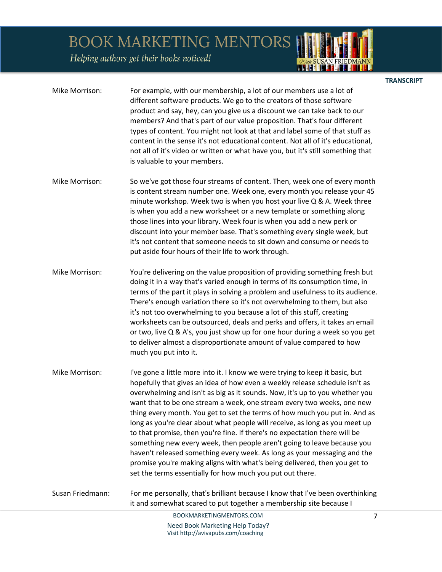Helping authors get their books noticed!

| Mike Morrison:   | For example, with our membership, a lot of our members use a lot of<br>different software products. We go to the creators of those software<br>product and say, hey, can you give us a discount we can take back to our<br>members? And that's part of our value proposition. That's four different<br>types of content. You might not look at that and label some of that stuff as<br>content in the sense it's not educational content. Not all of it's educational,<br>not all of it's video or written or what have you, but it's still something that<br>is valuable to your members.                                                                                                                                                                                                                                                                       |
|------------------|------------------------------------------------------------------------------------------------------------------------------------------------------------------------------------------------------------------------------------------------------------------------------------------------------------------------------------------------------------------------------------------------------------------------------------------------------------------------------------------------------------------------------------------------------------------------------------------------------------------------------------------------------------------------------------------------------------------------------------------------------------------------------------------------------------------------------------------------------------------|
| Mike Morrison:   | So we've got those four streams of content. Then, week one of every month<br>is content stream number one. Week one, every month you release your 45<br>minute workshop. Week two is when you host your live Q & A. Week three<br>is when you add a new worksheet or a new template or something along<br>those lines into your library. Week four is when you add a new perk or<br>discount into your member base. That's something every single week, but<br>it's not content that someone needs to sit down and consume or needs to<br>put aside four hours of their life to work through.                                                                                                                                                                                                                                                                    |
| Mike Morrison:   | You're delivering on the value proposition of providing something fresh but<br>doing it in a way that's varied enough in terms of its consumption time, in<br>terms of the part it plays in solving a problem and usefulness to its audience.<br>There's enough variation there so it's not overwhelming to them, but also<br>it's not too overwhelming to you because a lot of this stuff, creating<br>worksheets can be outsourced, deals and perks and offers, it takes an email<br>or two, live Q & A's, you just show up for one hour during a week so you get<br>to deliver almost a disproportionate amount of value compared to how<br>much you put into it.                                                                                                                                                                                             |
| Mike Morrison:   | I've gone a little more into it. I know we were trying to keep it basic, but<br>hopefully that gives an idea of how even a weekly release schedule isn't as<br>overwhelming and isn't as big as it sounds. Now, it's up to you whether you<br>want that to be one stream a week, one stream every two weeks, one new<br>thing every month. You get to set the terms of how much you put in. And as<br>long as you're clear about what people will receive, as long as you meet up<br>to that promise, then you're fine. If there's no expectation there will be<br>something new every week, then people aren't going to leave because you<br>haven't released something every week. As long as your messaging and the<br>promise you're making aligns with what's being delivered, then you get to<br>set the terms essentially for how much you put out there. |
| Susan Friedmann: | For me personally, that's brilliant because I know that I've been overthinking<br>it and somewhat scared to put together a membership site because I                                                                                                                                                                                                                                                                                                                                                                                                                                                                                                                                                                                                                                                                                                             |
|                  | BOOKMARKETINGMENTORS.COM<br>$\overline{7}$                                                                                                                                                                                                                                                                                                                                                                                                                                                                                                                                                                                                                                                                                                                                                                                                                       |

**TRANSCRIPT** 

*PUtth SUSAN FRIEDMANN*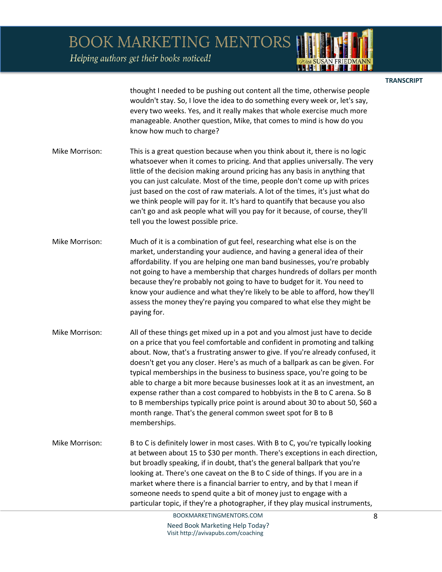Helping authors get their books noticed!



**TRANSCRIPT** 

thought I needed to be pushing out content all the time, otherwise people wouldn't stay. So, I love the idea to do something every week or, let's say, every two weeks. Yes, and it really makes that whole exercise much more manageable. Another question, Mike, that comes to mind is how do you know how much to charge?

- Mike Morrison: This is a great question because when you think about it, there is no logic whatsoever when it comes to pricing. And that applies universally. The very little of the decision making around pricing has any basis in anything that you can just calculate. Most of the time, people don't come up with prices just based on the cost of raw materials. A lot of the times, it's just what do we think people will pay for it. It's hard to quantify that because you also can't go and ask people what will you pay for it because, of course, they'll tell you the lowest possible price.
- Mike Morrison: Much of it is a combination of gut feel, researching what else is on the market, understanding your audience, and having a general idea of their affordability. If you are helping one man band businesses, you're probably not going to have a membership that charges hundreds of dollars per month because they're probably not going to have to budget for it. You need to know your audience and what they're likely to be able to afford, how they'll assess the money they're paying you compared to what else they might be paying for.
- Mike Morrison: All of these things get mixed up in a pot and you almost just have to decide on a price that you feel comfortable and confident in promoting and talking about. Now, that's a frustrating answer to give. If you're already confused, it doesn't get you any closer. Here's as much of a ballpark as can be given. For typical memberships in the business to business space, you're going to be able to charge a bit more because businesses look at it as an investment, an expense rather than a cost compared to hobbyists in the B to C arena. So B to B memberships typically price point is around about 30 to about 50, \$60 a month range. That's the general common sweet spot for B to B memberships.
- Mike Morrison: B to C is definitely lower in most cases. With B to C, you're typically looking at between about 15 to \$30 per month. There's exceptions in each direction, but broadly speaking, if in doubt, that's the general ballpark that you're looking at. There's one caveat on the B to C side of things. If you are in a market where there is a financial barrier to entry, and by that I mean if someone needs to spend quite a bit of money just to engage with a particular topic, if they're a photographer, if they play musical instruments,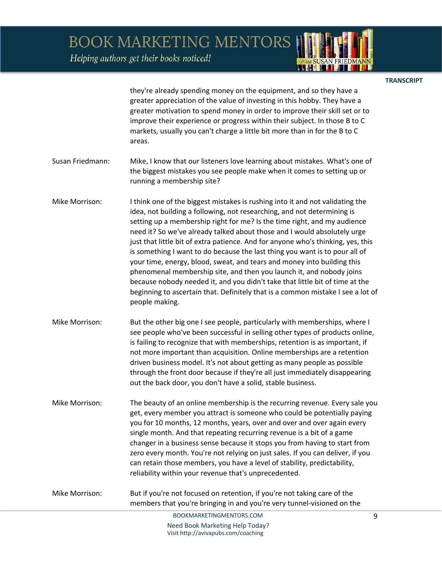Helping authors get their books noticed!

people making.



they're already spending money on the equipment, and so they have a greater appreciation of the value of investing in this hobby. They have a greater motivation to spend money in order to improve their skill set or to improve their experience or progress within their subject. In those B to C markets, usually you can't charge a little bit more than in for the B to C areas. Susan Friedmann: Mike, I know that our listeners love learning about mistakes. What's one of the biggest mistakes you see people make when it comes to setting up or running a membership site? Mike Morrison: I think one of the biggest mistakes is rushing into it and not validating the idea, not building a following, not researching, and not determining is setting up a membership right for me? Is the time right, and my audience need it? So we've already talked about those and I would absolutely urge just that little bit of extra patience. And for anyone who's thinking, yes, this is something I want to do because the last thing you want is to pour all of your time, energy, blood, sweat, and tears and money into building this phenomenal membership site, and then you launch it, and nobody joins because nobody needed it, and you didn't take that little bit of time at the beginning to ascertain that. Definitely that is a common mistake I see a lot of

Mike Morrison: But the other big one I see people, particularly with memberships, where I see people who've been successful in selling other types of products online, is failing to recognize that with memberships, retention is as important, if not more important than acquisition. Online memberships are a retention driven business model. It's not about getting as many people as possible through the front door because if they're all just immediately disappearing out the back door, you don't have a solid, stable business.

Mike Morrison: The beauty of an online membership is the recurring revenue. Every sale you get, every member you attract is someone who could be potentially paying you for 10 months, 12 months, years, over and over and over again every single month. And that repeating recurring revenue is a bit of a game changer in a business sense because it stops you from having to start from zero every month. You're not relying on just sales. If you can deliver, if you can retain those members, you have a level of stability, predictability, reliability within your revenue that's unprecedented.

Mike Morrison: But if you're not focused on retention, if you're not taking care of the members that you're bringing in and you're very tunnel-visioned on the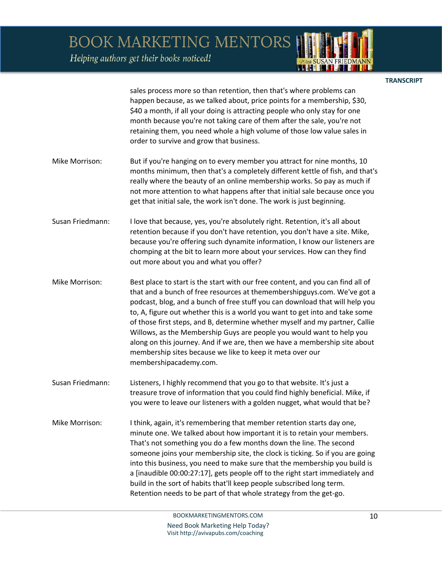Helping authors get their books noticed!



**TRANSCRIPT** 

sales process more so than retention, then that's where problems can happen because, as we talked about, price points for a membership, \$30, \$40 a month, if all your doing is attracting people who only stay for one month because you're not taking care of them after the sale, you're not retaining them, you need whole a high volume of those low value sales in order to survive and grow that business.

- Mike Morrison: But if you're hanging on to every member you attract for nine months, 10 months minimum, then that's a completely different kettle of fish, and that's really where the beauty of an online membership works. So pay as much if not more attention to what happens after that initial sale because once you get that initial sale, the work isn't done. The work is just beginning.
- Susan Friedmann: I love that because, yes, you're absolutely right. Retention, it's all about retention because if you don't have retention, you don't have a site. Mike, because you're offering such dynamite information, I know our listeners are chomping at the bit to learn more about your services. How can they find out more about you and what you offer?
- Mike Morrison: Best place to start is the start with our free content, and you can find all of that and a bunch of free resources at themembershipguys.com. We've got a podcast, blog, and a bunch of free stuff you can download that will help you to, A, figure out whether this is a world you want to get into and take some of those first steps, and B, determine whether myself and my partner, Callie Willows, as the Membership Guys are people you would want to help you along on this journey. And if we are, then we have a membership site about membership sites because we like to keep it meta over our membershipacademy.com.
- Susan Friedmann: Listeners, I highly recommend that you go to that website. It's just a treasure trove of information that you could find highly beneficial. Mike, if you were to leave our listeners with a golden nugget, what would that be?
- Mike Morrison: I think, again, it's remembering that member retention starts day one, minute one. We talked about how important it is to retain your members. That's not something you do a few months down the line. The second someone joins your membership site, the clock is ticking. So if you are going into this business, you need to make sure that the membership you build is a [inaudible 00:00:27:17], gets people off to the right start immediately and build in the sort of habits that'll keep people subscribed long term. Retention needs to be part of that whole strategy from the get-go.